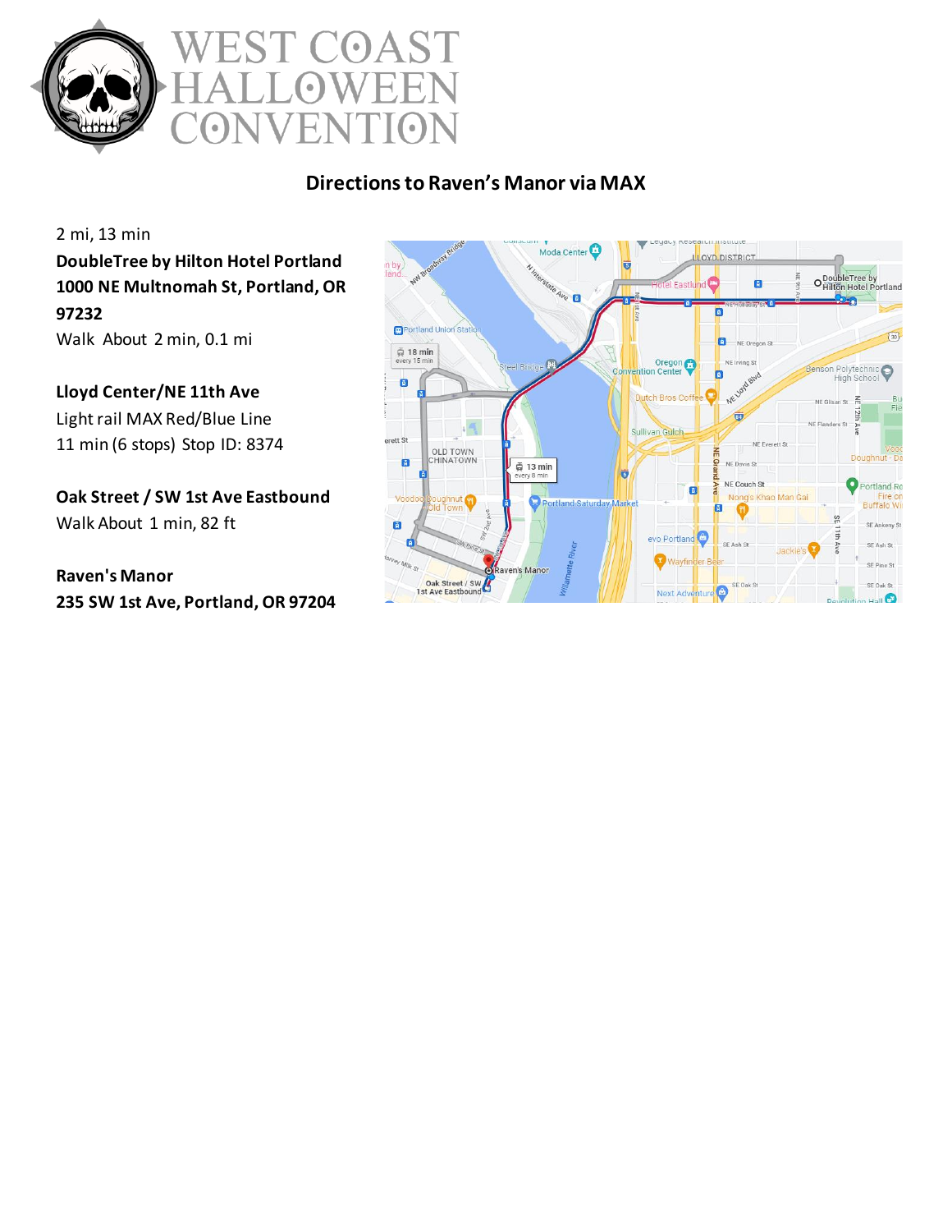

# COAST  $\overline{\mathcal{L}}$  $\bullet$  $\bullet$

## **Directions to Raven's Manor via MAX**

2 mi, 13 min **DoubleTree by Hilton Hotel Portland 1000 NE Multnomah St, Portland, OR 97232** Walk About 2 min, 0.1 mi

**Lloyd Center/NE 11th Ave** Light rail MAX Red/Blue Line 11 min (6 stops) Stop ID: 8374

**Oak Street / SW 1st Ave Eastbound** Walk About 1 min, 82 ft

**Raven's Manor 235 SW 1st Ave, Portland, OR 97204**